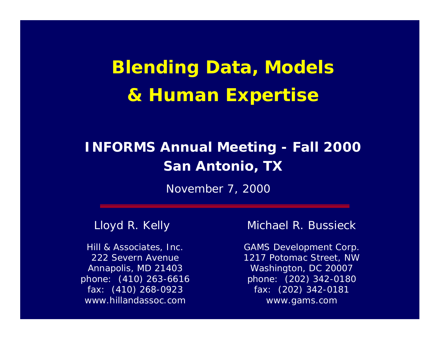# **Blending Data, Models & Human Expertise**

#### **INFORMS Annual Meeting - Fall 2000 San Antonio, TX**

November 7, 2000

#### Lloyd R. Kelly

Hill & Associates, Inc. 222 Severn AvenueAnnapolis, MD 21403 phone: (410) 263-6616 fax: (410) 268-0923 www.hillandassoc.com

#### Michael R. Bussieck

GAMS Development Corp. 1217 Potomac Street, NW Washington, DC 20007 phone: (202) 342-0180 fax: (202) 342-0181 www.gams.com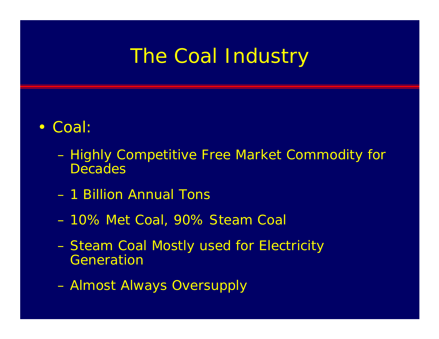#### The Coal Industry

#### • Coal:

- Highly Competitive Free Market Commodity for **Decades**
- 1 Billion Annual Tons
- 10% Met Coal, 90% Steam Coal
- Steam Coal Mostly used for Electricity Generation
- Almost Always Oversupply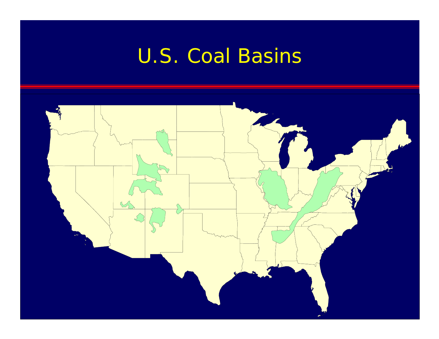# U.S. Coal Basins

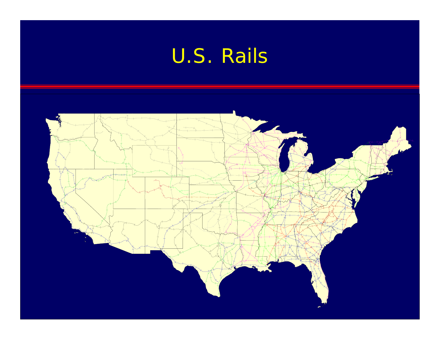# U.S. Rails

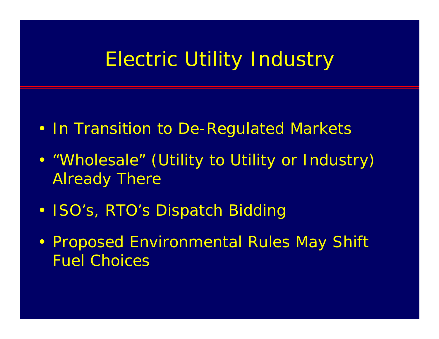#### Electric Utility Industry

- In Transition to De-Regulated Markets
- • "*Wholesale*" (Utility to Utility or Industry) Already There
- ISO's, RTO's Dispatch Bidding
- Proposed Environmental Rules May Shift Fuel Choices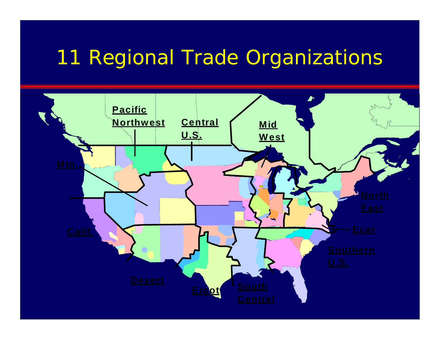### 11 Regional Trade Organizations

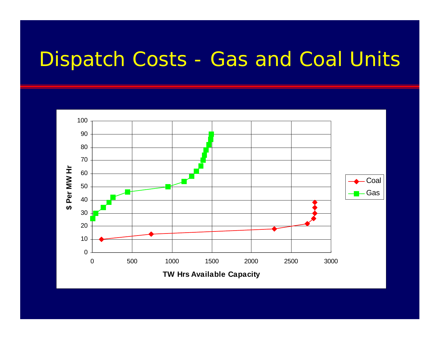### Dispatch Costs - Gas and Coal Units

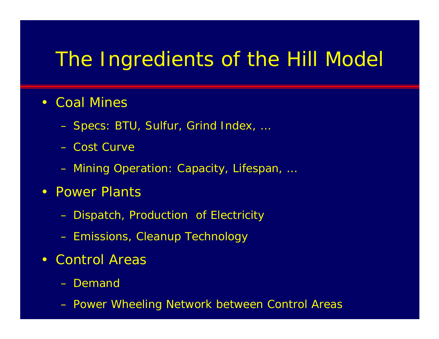#### The Ingredients of the Hill Model

#### • Coal Mines

- Specs: BTU, Sulfur, Grind Index, …
- Cost Curve
- Mining Operation: Capacity, Lifespan, …
- Power Plants
	- Dispatch, Production of Electricity
	- Emissions, Cleanup Technology
- Control Areas
	- Demanc
	- Power Wheeling Network between Control Areas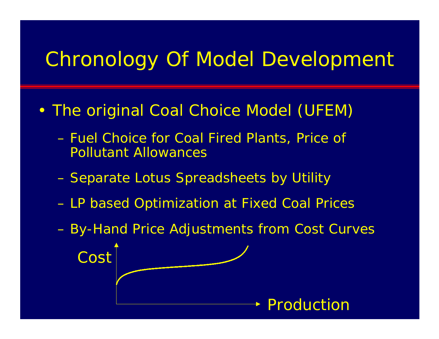## Chronology Of Model Development

- • The *original* Coal Choice Model (UFEM)
	- Fuel Choice for Coal Fired Plants, Price of Pollutant Allowances
	- Separate Lotus Spreadsheets by Utility
	- LP based Optimization at Fixed Coal Prices
	- By-Hand Price Adjustments from Cost Curves CostProduction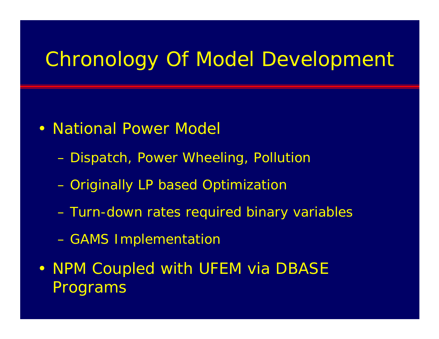### Chronology Of Model Development

- National Power Model
	- Dispatch, Power Wheeling, Pollution
	- *Originally* LP based Optimization
	- *Turn-down rates* required binary variables
	- GAMS Implementation
- NPM Coupled with UFEM via DBASE Programs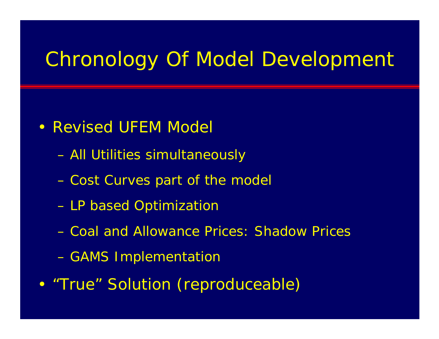## Chronology Of Model Development

- Revised UFEM Model
	- All Utilities simultaneously
	- Cost Curves part of the model
	- LP based Optimization
	- Coal and Allowance Prices: *Shadow Prices*
	- GAMS Implementation
- •"*True*" Solution (reproduceable)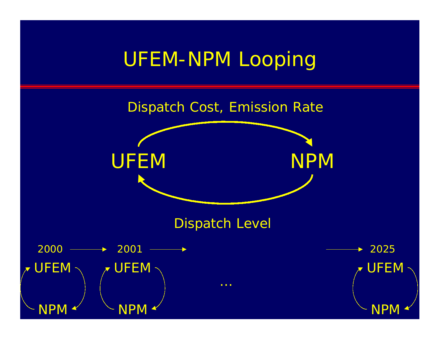### UFEM-NPM Looping

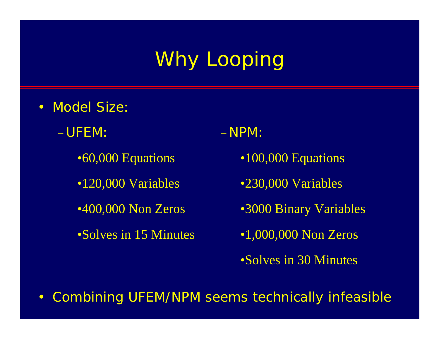# Why Looping

- Model Size
	- –UFEM:
		- •60,000 Equations
		- •120,000 Variables
		- •400,000 Non Zeros
		- •Solves in 15 Minutes

–NPM:

- •100,000 Equations
- •230,000 Variables
- •3000 Binary Variables
- •1,000,000 Non Zeros
- •Solves in 30 Minutes
- $\bullet$ Combining UFEM/NPM seems technically infeasible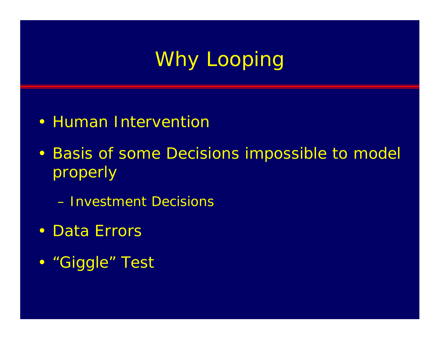# Why Looping

- Human Interventior
- Basis of some Decisions impossible to model properly
	- Investment Decisions
- Data Errors
- "*Giggle*" Test